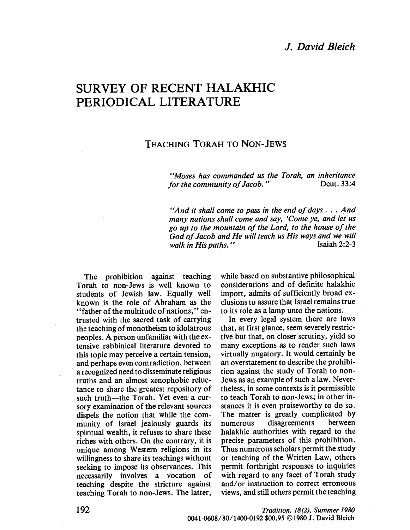## J. David Bleich

# SURVEY OF RECENT HALAKHIC PERIODICAL LITERATURE

### TEACHING TORAH TO NON-JEWS

"Moses has commanded us the Torah, an inheritance<br>for the community of Jacob." Deut. 33:4 for the community of Jacob."

"And it shall come to pass in the end of days. . . And many nations shall come and say, 'Come ye, and let us go up to the mountain of the Lord, to the house of the God of Jacob and He will teach us His ways and we will walk in His naths." walk in His paths."

The prohibition against teaching Torah to non-Jews is well known to students of Jewish law. Equally well known is the role of Abraham as the "father of the multitude of nations," entrusted with the sacred task of carrying the teaching of monotheism to idolatrous peoples. A person unfamiliar with the extensive rabbinical literature devoted to this topic may perceive a certain tension, and perhaps even contradiction, between a recognized need to disseminate religious truths and an almost xenophobic reluctance to share the greatest repository of such truth-the Torah. Yet even a cursory examination of the relevant sources dispels the notion that while the community of Israel jealously guards its spiritual wealth, it refuses to share these riches with others. On the contrary, it is unique among Western religions in its wilingness to share its teachings without seeking to impose its observances. This necessarily involves a vocation of teaching despite the stricture against teaching Torah to non-Jews. The latter,

while based on substantive philosophical considerations and of definite halakhic import, admits of sufficiently broad exclusions to assure that Israel remains true to its role as a lamp unto the nations.

In every legal system there are laws that, at first glance, seem severely restrictive but that, on closer scrutiny, yield so many exceptions as to render such laws virtually nugatory. It would certainly be an overstatement to describe the prohibition against the study of Torah to non-Jews as an example of such a law. Nevertheless, in some contexts is it permissible to teach Torah to non-Jews; in other instances it is even praiseworthy to do so. The matter is greatly complicated by numerous disagreements between halakhic authorities with regard to the precise parameters of this prohibition. Thus numerous scholars permit the study or teaching of the Written Law, others permit forthright responses to inquiries with regard to any facet of Torah study and/or instruction to correct erroneous views, ànd stil others permit the teaching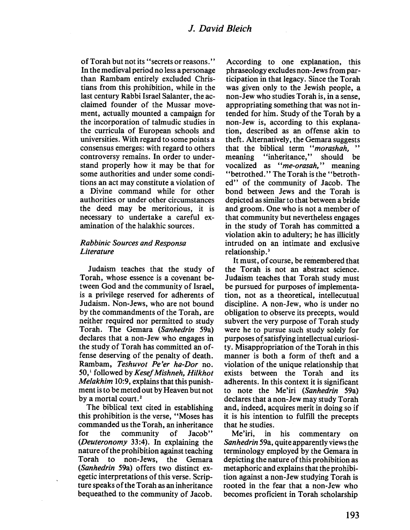of Torah but not its "secrets or reasons." In the medieval period no less a personage than Rambam entirely excluded Christians from this prohibition, while in the last century Rabbi Israel Salanter, the acclaimed founder of the Mussar movement, actually mounted a campaign for the incorporation of talmudic studies in the curricula of European schools and universities. With regard to some points a consensus emerges: with regard to others controversy remains. In order to understand properly how it may be that for some authorities and under some conditions an act may constitute a violation of a Divine command while for other authorities or under other circumstances the deed may be meritorious, it is necessary to undertake a careful examination of the halakhic sources.

#### Rabbinic Sources and Responsa **Literature**

Judaism teaches that the study of Torah, whose essence is a covenant between God and the community of Israel, is a privilege reserved for adherents of Judaism. Non-Jews, who are not bound by the commandments of the Torah, are neither required nor permitted to study Torah. The Gemara (Sanhedrin 59a) declares that a non-Jew who engages in the study of Torah has committed an offense deserving of the penalty of death. Rambam, Teshuvot Pe'er ha-Dor no. 50,' followed by Kesef Mishneh, Hilkhot Melakhim 10:9, explains that this punishment is to be meted out by Heaven but not by a mortal court.<sup>2</sup>

The biblical text cited in establishing this prohibition is the verse, "Moses has commanded us the Torah, an inheritance for the community of Jacob" (Deuteronomy 33:4). In explaining the nature of the prohibition against teaching Torah to non-Jews, the Gemara (Sanhedrin 59a) offers two distinct exegetic interpretations of this verse. Scripture speaks of the Torah as an inheritance bequeathed to the community of Jacob.

According to one explanation, this phraseology excludes non-Jews from participation in that legacy. Since the Torah was given only to the Jewish people, a non-Jew who studies Torah is, in a sense, appropriating something that was not intended for him. Study of the Torah by a non-Jew is, according to this explanation, described as an offense akin to theft. Alternatively, the Gemara suggests that the biblical term "morashah, "<br>meaning "inheritance," should be "inheritance," should be vocalized as "me-orasah," meaning "betrothed." The Torah is the "betrothed" of the community of Jacob. The bond between Jews and the Torah is depicted as similar to that between a bride and groom. One who is not a member of that community but nevertheless engages in the study of Torah has committed a violation akin to adultery; he has ilicitly intruded on an intimate and exclusive relationship.'

It must, of course, be remembered that the Torah is not an abstract science. Judaism teaches that Torah study must be pursued for purposes of implementation, not as a theoretical, intellecutual discipline. A non-Jew, who is under no obligation to observe its precepts, would subvert the very purpose of Torah study were he to pursue such study solely for purposes of satisfying intellectual curiosity. Misappropriation of the Torah in this manner is both a form of theft and a violation of the unique relationship that exists between the Torah and its adherents. In this context it is significant to note the Me'iri (Sanhedrin 59a) declares that a non-Jew may study Torah and, indeed, acquires merit in doing so if it is his intention to fulfil the precepts that he studies.

Me'iri, in his commentary on Sanhedrin 59a, quite apparently views the terminology employed by the Gemara in depicting the nature of this prohibition as metaphoric and explains that the prohibition against a non-Jew studying Torah is rooted in the fear that a non-Jew who becomes proficient in Torah scholarship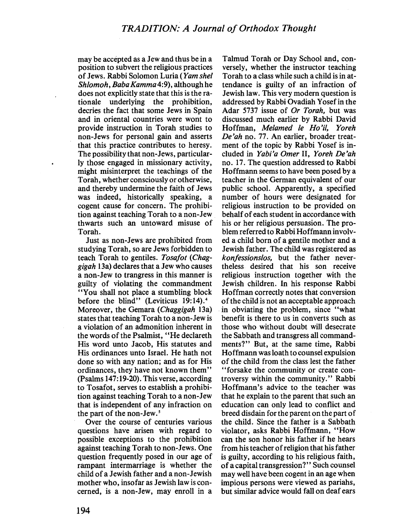may be accepted as a Jew and thus be in a position to subvert the religious practices of Jews. Rabbi Solomon Luria (Yam shel Shlomoh, Baba Kamma4:9), although he does not explicitly state that this is the rationale underlying the prohibition, decries the fact that some Jews in Spain and in oriental countries were wont to provide instruction in Torah studies to non-Jews for personal gain and asserts that this practice contributes to heresy. The possibility that non-Jews, particularly those engaged in missionary activity, might misinterpret the teachings of the Torah, whether consciously or otherwise, and thereby undermine the faith of Jews was indeed, historically speaking, a cogent cause for concern. The prohibition against teaching Torah to a non-Jew thwars such an untoward misuse of Torah.

Just as non-Jews are prohibited from studying Torah, so are Jews forbidden to teach Torah to gentiles. Tosafot (Chaggigah I3a) declares that a Jew who causes a non-Jew to trangress in this manner is guilty of violating the commandment "You shall not place a stumbling block before the blind" (Leviticus 19:14).<sup>4</sup> Moreover, the Gemara (Chaggigah 13a) states that teaching Torah to a non-Jew is a violation of an admonition inherent in the words of the Psalmist, "He declareth His word unto Jacob, His statutes and His ordinances unto IsraeL. He hath not done so with any nation; and as for His ordinances, they have not known them" (Psalms 147: 19-20). This verse, according to Tosafot, serves to establish a prohibition against teaching Torah to a non-Jew that is independent of any infraction on the part of the non-Jew.<sup>5</sup>

Over the course of centuries various questions have arisen with regard to possible exceptions to the prohibition against teaching Torah to non-Jews. One question frequently posed in our age of rampant intermarriage is whether the child of a Jewish father and a non-Jewish mother who, insofar as Jewish law is concerned, is a non-Jew, may enroll in a

Talmud Torah or Day School and, conversely, whether the instructor teaching Torah to a class while such a child is in attendance is guilty of an infraction of Jewish law. This very modern question is addressed by Rabbi Ovadiah Yosef in the Adar 5737 issue of Or Torah, but was discussed much earlier by Rabbi David Hoffman, Melamed Ie Ho'il, Yoreh De'ah no. 77. An earlier, broader treatment of the topic by Rabbi Yosef is included in Yabi'a Omer II, Yoreh De'ah no. 17. The question addressed to Rabbi Hoffmann seems to have been posed by a teacher in the German equivalent of our public schooL. Apparently, a specified number of hours were designated for religious instruction to be provided on behalf of each student in accordance with his or her religious persuasion. The problem referred to Rabbi Hoffmann involved a child born of a gentile mother and a Jewish father. The child was registered as konfessionslos, but the father nevertheless desired that his son receive religious instruction together with the Jewish children. In his response Rabbi Hoffman correctly notes that conversion of the child is not an acceptable approach in obviating the problem, since "what benefit is there to us in converts such as those who without doubt wil desecrate the Sabbath and transgress all commandments?" But, at the same time, Rabbi Hoffmann was loath to counsel expulsion of the child from the class lest the father "forsake the community or create controversy within the community." Rabbi Hoffmann's advice to the teacher was that he explain to the parent that such an education can only lead to conflict and breed disdain for the parent on the part of the child. Since the father is a Sabbath violator, asks Rabbi Hoffmann, "How can the son honor his father if he hears from his teacher of religion that his father is guilty, according to his religious faith, of a capital transgression?" Such counsel may well have been cogent in an age when impious persons were viewed as pariahs, but similar advice would fall on deaf ears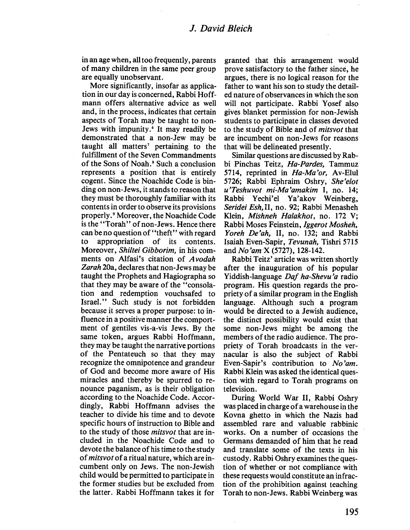in an age when, all too frequently, parents of many children in the same peer group are equally unobservant.

More significantly, insofar as application in our day is concerned, Rabbi Hoffmann offers alternative advice as well and, in the process, indicates that certain aspects of Torah may be taught to non-Jews with impunity.' It may readily be demonstrated that a non-Jew may be taught all matters<sup> $7$ </sup> pertaining to the fulfilment of the Seven Commandments of the Sons of Noah.' Such a conclusion represents a position that is entirely cogent. Since the Noachide Code is binding on non-Jews, it stands to reason that they must be thoroughly familiar with its contents in order to observe its provisions properly.' Moreover, the Noachide Code is the "Torah" of non-Jews. Hence there can be no question of "theft" with regard to appropriation of its contents. Moreover, Shiltei Gibborim, in his comments on Alfasi's citation of Avodah Zarah 20a, declares that non-Jews may be taught the Prophets and Hagiographa so that they may be aware of the "consolation and redemption vouchsafed to Israel." Such study is not forbidden because it serves a proper purpose: to influence in a positive manner the comportment of gentiles vis-a-vis Jews. By the same token, argues Rabbi Hoffmann, they may be taught the narrative portions of the Pentateuch so that they may recognize the omnipotence and grandeur of God and become more aware of His miracles and thereby be spurred to renounce paganism, as is their obligation according to the Noachide Code. Accordingly, Rabbi Hoffmann advises the teacher to divide his time and to devote specific hours of instruction to Bible and to the study of those mitsvot that are included in the Noachide Code and to devote the balance of his time to the study of mitsvot of a ritual nature, which are incumbent only on Jews. The non-Jewish child would be permitted to participate in the former studies but be excluded from the latter. Rabbi Hoffmann takes it for

granted that this arrangement would prove satisfactory to the father since, he argues, there is no logical reason for the father to want his son to study the detailed nature of observances in which the son will not participate. Rabbi Yosef also gives blanket permission for non-Jewish students to participate in classes devoted to the study of Bible and of mitsvot that are incumbent on non-Jews for reasons that will be delineated presently.

Similar questions are discussed by Rabbi Pinchas Teitz, Ha-Pardes, Tammuz 5714, reprinted in Ha-Ma'or, Av-Elul 5726; Rabbi Ephraim Oshry, She'elot u'Teshuvot mi-Ma'amakim I, no. 14; Rabbi Yechi'el Ya'akov Weinberg, Seridei Esh,II, no. 92; Rabbi Menasheh Klein, Mishneh Halakhot, no. 172 V; Rabbi Moses Feinstein, Iggerot Mosheh, Yoreh De'ah, II, no. 132; and Rabbi Isaiah Even-Sapir, Tevunah, Tishri 5715 and No'am X (5727), 128-142.

Rabbi Teitz' article was written shortly after the inauguration of his popular Yiddish-language Daf ha-Shevu 'a radio program. His question regards the propriety of a similar program in the English language. Although such a program would be directed to a Jewish audience, the distinct possibility would exist that some non-Jews might be among the members of the radio audience. The propriety of Torah broadcasts in the vernacular is also the subject of Rabbi Even-Sapir's contribution to No'am. Rabbi Klein was asked the identical question with regard to Torah programs on television.

During World War II, Rabbi Oshry was placed in charge of a warehouse in the Kovna ghetto in which the Nazis had assembled rare and valuable rabbinic works. On a number of occasions the Germans demanded of him that he read and translate some of the texts in his custody. Rabbi Oshry examines the question of whether or not compliance with these requests would constitute an infraction of the prohibition against teaching Torah to non-Jews. Rabbi Weinberg was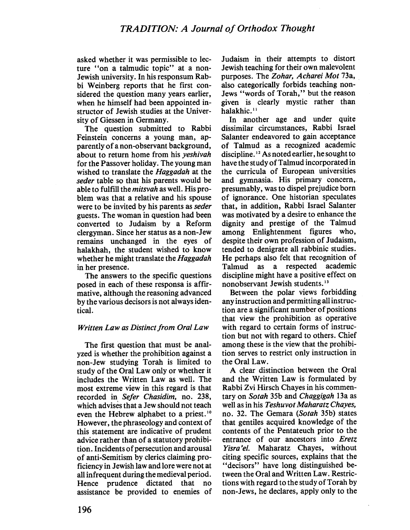asked whether it was permissible to lecture "on a talmudic topic" at a non-Jewish university. In his responsum Rabbi Weinberg reports that he first considered the question many years earlier, when he himself had been appointed instructor of Jewish studies at the University of Giessen in Germany.

The question submitted to Rabbi Feinstein concerns a young man, apparently of a non-observant background, about to return home from his yeshivah for the Passover holiday. The young man wished to translate the Haggadah at the seder table so that his parents would be able to fulfill the *mitsvah* as well. His problem was that a relative and his spouse were to be invited by his parents as seder guests. The woman in question had been converted to Judaism by a Reform clergyman. Since her status as a non-Jew remains unchanged in the eyes of halakhah, the student wished to know whether he might translate the *Haggadah* in her presence.

The answers to the specific questions posed in each of these responsa is affirmative, although the reasoning advanced by the various decisors is not always identicaL.

#### Written Law as Distinct from Oral Law

The first question that must be analyzed is whether the prohibition against a non-Jew studying Torah is limited to study of the Oral Law only or whether it includes the Written Law as well. The most extreme view in this regard is that recorded in Sefer Chasidim, no. 238, which advises that a Jew should not teach even the Hebrew alphabet to a priest.<sup>10</sup> However, the phraseology and context of this statement are indicative of prudent advice rather than of a statutory prohibition. Incidents of persecution and arousal of anti-Semitism by clerics claiming proficiency in Jewish law and lore were not at all infrequent during the medieval period. Hence prudence dictated that no assistance be provided to enemies of

Judaism in their attempts to distort Jewish teaching for their own malevolent purposes. The Zohar, Acharei Mot 73a, also categorically forbids teaching non-Jews "words of Torah," but the reason given is clearly mystic rather than halakhic.<sup>11</sup>

In another age and under quite dissimilar circumstances, Rabbi Israel Salanter endeavored to gain acceptance of Talmud as a recognized academic discipline. " As noted earlier, he sought to have the study of Talmud incorporated in the curricula of European universities and gymnasia. His primary concern, presumably, was to dispel prejudice born of ignorance. One historian speculates that, in addition, Rabbi Israel Salanter was motivated by a desire to enhance the dignity and prestige of the Talmud among Enlightenment figures who, despite their own profession of Judaism, tended to denigrate all rabbinic studies. He perhaps also felt that recognition of Talmud as a respected academic discipline might have a positive effect on nonobservant Jewish students."

Between the polar views forbidding any instruction and permitting all instruction are a significant number of positions that view the prohibition as operative with regard to certain forms of instruction but not with regard to others. Chief among these is the view that the prohibition serves to restrict only instruction in the Oral Law.

A clear distinction between the Oral and the Written Law is formulated by Rabbi Zvi Hirsch Chayes in his commentary on Sotah 35b and Chaggigah I3a as well as in his Teshuvot Maharatz Chayes, no. 32. The Gemara (Sotah 35b) states that gentiles acquired knowledge of the contents of the Pentateuch prior to the entrance of our ancestors into Eretz Yisra'el. Maharatz Chayes, without citing specific sources, explains that the "decisors" have long distinguished between the Oral and Written Law. Restrictions with regard to the study of Torah by non-Jews, he declares, apply only to the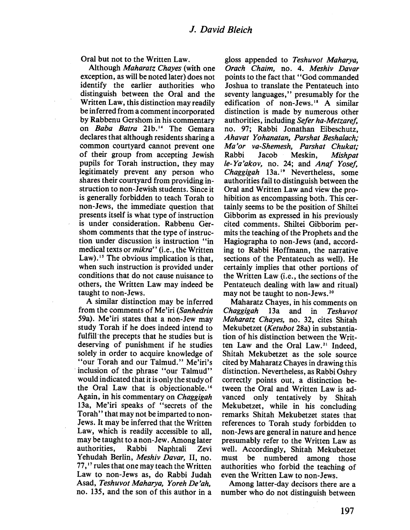Oral but not to the Written Law.

Although *Maharatz Chaves* (with one exception, as will be noted later) does not identify the earlier authorities who distinguish between the Oral and the Written Law, this distinction may readily be inferred from a comment incorporated by Rabbenu Gershom in his commentary on Baba Batra 21b.<sup>14</sup> The Gemara declares that although residents sharing a common courtyard cannot prevent one of their group from accepting Jewish pupils for Torah instruction, they may legitimately prevent any person who shares their courtyard from providing instruction to non-Jewish students. Since it is generally forbidden to teach Torah to non-Jews, the immediate question that presents itself is what type of instruction is under consideration. Rabbenu Gershom comments that the type of instruction under discussion is instruction "in medical texts or *mikra*" (i.e., the Written Law).<sup>15</sup> The obvious implication is that, when such instruction is provided under conditions that do not cause nuisance to others, the Written Law may indeed be taught to non-Jews.

A similar distinction may be inferred from the comments of Me'iri (Sanhedrin 59a). Me'iri states that a non-Jew may study Torah if he does indeed intend to fulfill the precepts that he studies but is deserving of punishment if he studies solely in order to acquire knowledge of "our Torah and our Talmud." Me'iri's inclusion of the phrase "our Talmud" would indicated that it is only the study of the Oral Law that is objectionable.<sup>16</sup> Again, in his commentary on Chaggigah 13a, Me'iri speaks of "secrets of the Torah" that may not be imparted to non-Jews. It may be inferred that the Written Law, which is readily accessible to all, may be taught to a non-Jew. Among later authorities, Rabbi Naphtali Zevi Yehudah Berlin, Meshiv Davar, II, no. 77,<sup>17</sup> rules that one may teach the Written Law to non-Jews as, do Rabbi Judah Asad, Teshuvot Maharya, Yoreh De'ah, no. 135, and the son of this author in a

gloss appended to Teshuvot Maharya, Orach Chaim, no. 4. Meshiv Davar points to the fact that "God commanded Joshua to translate the Pentateuch into seventy languages," presumably for the edification of non-Jews.<sup>18</sup> A similar distinction is made by numerous other authorities, including Sefer ha-Metzaref, no. 97; Rabbi Jonathan Eibeschutz, Ahavat Yohanatan, Parshat Beshalach; Ma'or va-Shemesh, Parshat Chukat; Rabbi Jacob Meskin, Mishpat le-Ya'akov, no. 24; and Anaf Yosef, Chaggigah 13a.<sup>19</sup> Nevertheless, some authorities fail to distinguish between the Oral and Written Law and view the prohibition as encompassing both. This certainly seems to be the position of Shiltei Gibborim as expressed in his previously cited comments. Shiltei Gibborim permits the teaching of the Prophets and the Hagiographa to non-Jews (and, according to Rabbi Hoffmann, the narrative sections of the Pentateuch as well). He certainly implies that other portions of the Written Law (i.e., the sections of the Pentateuch dealing with law and ritual) may not be taught to non-Jews.20

Maharatz Chayes, in his comments on Chaggigah 13a and in Teshuvot Maharatz Chayes, no. 32, cites Shitah Mekubetzet (Ketubot 28a) in substantiation of his distinction between the Written Law and the Oral Law.<sup>21</sup> Indeed, Shitah Mekubetzet as the sole source cited by Maharatz Chayes in drawing this distinction. Nevertheless, as Rabbi Oshry correctly points out, a distinction between the Oral and Written Law is advanced only tentatively by Shitah Mekubetzet, while in his concluding remarks Shitah Mekubetzet states that references to Torah study forbidden to non-Jews are general in nature and hence presumably refer to the Written Law as well. Accordingly, Shitah Mekubetzet must be numbered among those authorities who forbid the teaching of even the Written Law to non-Jews.

Among latter-day decisors there are a number who do not distinguish between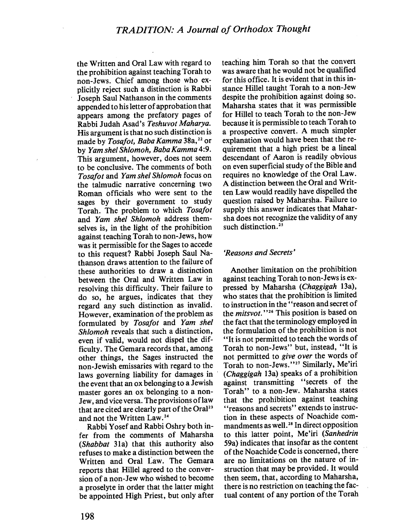the Written and Oral Law with regard to the prohibition against teaching Torah to non-Jews. Chief among those who explicitly reject such a distinction is Rabbi Joseph Saul Nathanson in the comments appended to his letter of approbation that appears among the prefatory pages of Rabbi Judah Asad's Teshuvot Maharya. His argument is that no such distinction is made by Tosafot, Baba Kamma 38a,<sup>22</sup> or by Yam shel Shlomoh, Baba Kamma 4:9. This argument, however, does not seem to be conclusive. The comments of both Tosafot and Yam shel Shlomoh focus on the talmudic narrative concerning two Roman officials who were sent to the sages by their government to study Torah. The problem to which Tosafot and Yam shel Shlomoh address themselves is, in the light of the prohibition against teaching Torah to non-Jews, how was it permissible for the Sages to accede to this request? Rabbi Joseph Saul Nathanson draws attention to the failure of these authorities to draw a distinction between the Oral and Written Law in resolving this difficulty. Their failure to do so, he argues, indicates that they regard any such distinction as invalid. However, examination of the problem as formulated by Tosafot and Yam shel Shlomoh reveals that such a distinction, even if valid, would not dispel the difficulty. The Gemara records that, among other things, the Sages instructed the non-Jewish emissaries with regard to the laws governing liability for damages in the event that an ox belonging to a Jewish master gores an ox belonging to a non-Jew, and vice versa. The provisions of law that are cited are clearly part of the Oral<sup>23</sup> and not the Written Law. 24

Rabbi Yosef and Rabbi Oshry both infer from the comments of Maharsha (Shabbat 31a) that this authority also refuses to make a distinction between the Written and Oral Law. The Oemara reports that Hilel agreed to the conversion of a non-Jew who wished to become a proselyte in order that the latter might be appointed High Priest, but only after

teaching him Torah so that the convert was aware that he would not be qualified for this office. It is evident that in this instance Hilel taught Torah to a non-Jew despite the prohibition against doing so. Maharsha states that it was permissible for Hilel to teach Torah to the non-Jew because it is permissible to teach Torah to a prospective convert. A much simpler explanation would have been that the requirement that a high priest be a lineal descendant of Aaron is readily obvious on even superficial study of the Bible and requires no knowledge of the Oral Law. A distinction between the Oral and Written Law would readily have dispelled the question raised by Maharsha. Failure to supply this answer indicates that Maharsha does not recognize the validity of any such distinction.<sup>25</sup>

#### 'Reasons and Secrets'

Another limitation on the prohibition against teaching Torah to non-Jews is expressed by Maharsha (Chaggigah 13a), who states that the prohibition is limited to instruction in the' 'reason and secret of the *mitsvot*."<sup>26</sup> This position is based on the fact that the terminology employed in the formulation of the prohibition is not "It is not permitted to teach the words of Torah to non-Jews" but, instead, "It is not permitted to give over the words of Torah to non-Jews."<sup>27</sup> Similarly, Me'iri (Chaggigah 13a) speaks of a prohibition against transmitting "secrets of the Torah" to a non-Jew. Maharsha states that the prohibition against teaching "reasons and secrets" extends to instruction in these aspects of Noachide commandments as well.<sup>28</sup> In direct opposition to this latter point, Me'iri (Sanhedrin 59a) indicates that insofar as the content of the Noachide Code is concerned, there are no limitations on the nature of instruction that may be provided. It would then seem, that, according to Maharsha, there is no restriction on teaching the factual content of any portion of the Torah